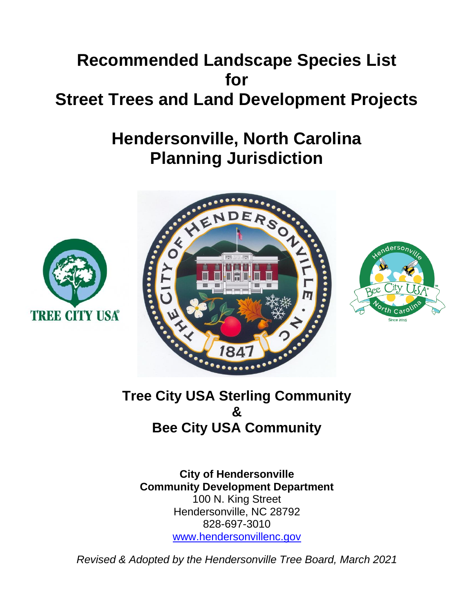# **Recommended Landscape Species List for Street Trees and Land Development Projects**

# **Hendersonville, North Carolina Planning Jurisdiction**







# **Tree City USA Sterling Community & Bee City USA Community**

**City of Hendersonville Community Development Department** 100 N. King Street Hendersonville, NC 28792 828-697-3010 [www.hendersonvillenc.gov](http://www.hendersonvillenc.gov/)

*Revised & Adopted by the Hendersonville Tree Board, March 2021*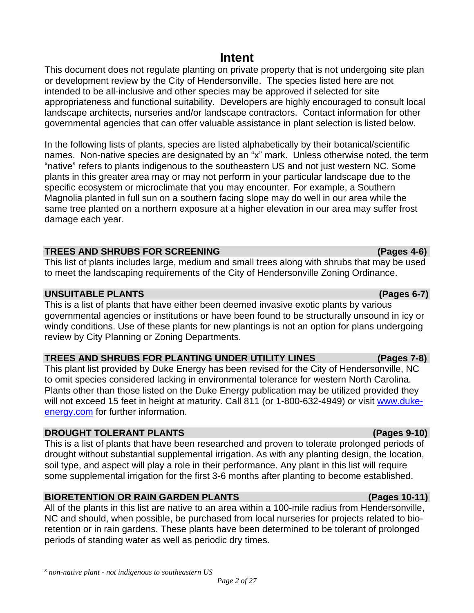# **Intent**

This document does not regulate planting on private property that is not undergoing site plan or development review by the City of Hendersonville. The species listed here are not intended to be all-inclusive and other species may be approved if selected for site appropriateness and functional suitability. Developers are highly encouraged to consult local landscape architects, nurseries and/or landscape contractors. Contact information for other governmental agencies that can offer valuable assistance in plant selection is listed below.

In the following lists of plants, species are listed alphabetically by their botanical/scientific names. Non-native species are designated by an "x" mark. Unless otherwise noted, the term "native" refers to plants indigenous to the southeastern US and not just western NC. Some plants in this greater area may or may not perform in your particular landscape due to the specific ecosystem or microclimate that you may encounter. For example, a Southern Magnolia planted in full sun on a southern facing slope may do well in our area while the same tree planted on a northern exposure at a higher elevation in our area may suffer frost damage each year.

# **TREES AND SHRUBS FOR SCREENING (Pages 4-6)**

This list of plants includes large, medium and small trees along with shrubs that may be used to meet the landscaping requirements of the City of Hendersonville Zoning Ordinance.

# **UNSUITABLE PLANTS (Pages 6-7)**

This is a list of plants that have either been deemed invasive exotic plants by various governmental agencies or institutions or have been found to be structurally unsound in icy or windy conditions. Use of these plants for new plantings is not an option for plans undergoing review by City Planning or Zoning Departments.

# **TREES AND SHRUBS FOR PLANTING UNDER UTILITY LINES (Pages 7-8)**

This plant list provided by Duke Energy has been revised for the City of Hendersonville, NC to omit species considered lacking in environmental tolerance for western North Carolina. Plants other than those listed on the Duke Energy publication may be utilized provided they will not exceed 15 feet in height at maturity. Call 811 (or 1-800-632-4949) or visit [www.duke](http://www.duke-energy.com/)[energy.com](http://www.duke-energy.com/) for further information.

# **DROUGHT TOLERANT PLANTS (Pages 9-10)**

This is a list of plants that have been researched and proven to tolerate prolonged periods of drought without substantial supplemental irrigation. As with any planting design, the location, soil type, and aspect will play a role in their performance. Any plant in this list will require some supplemental irrigation for the first 3-6 months after planting to become established.

# **BIORETENTION OR RAIN GARDEN PLANTS (Pages 10-11)**

All of the plants in this list are native to an area within a 100-mile radius from Hendersonville, NC and should, when possible, be purchased from local nurseries for projects related to bioretention or in rain gardens. These plants have been determined to be tolerant of prolonged periods of standing water as well as periodic dry times.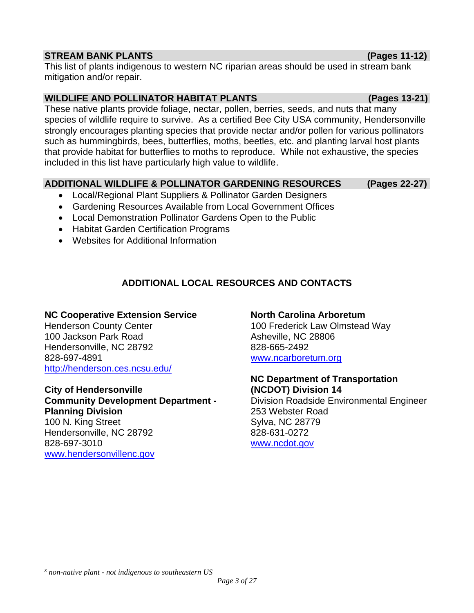### **STREAM BANK PLANTS (Pages 11-12)**

This list of plants indigenous to western NC riparian areas should be used in stream bank mitigation and/or repair.

# **WILDLIFE AND POLLINATOR HABITAT PLANTS (Pages 13-21)**

These native plants provide foliage, nectar, pollen, berries, seeds, and nuts that many species of wildlife require to survive. As a certified Bee City USA community, Hendersonville strongly encourages planting species that provide nectar and/or pollen for various pollinators such as hummingbirds, bees, butterflies, moths, beetles, etc. and planting larval host plants that provide habitat for butterflies to moths to reproduce. While not exhaustive, the species included in this list have particularly high value to wildlife.

# **ADDITIONAL WILDLIFE & POLLINATOR GARDENING RESOURCES (Pages 22-27)**

- Local/Regional Plant Suppliers & Pollinator Garden Designers
- Gardening Resources Available from Local Government Offices
- Local Demonstration Pollinator Gardens Open to the Public
- Habitat Garden Certification Programs
- Websites for Additional Information

# **ADDITIONAL LOCAL RESOURCES AND CONTACTS**

# **NC Cooperative Extension Service**

Henderson County Center 100 Jackson Park Road Hendersonville, NC 28792 828-697-4891 <http://henderson.ces.ncsu.edu/>

### **City of Hendersonville**

**Community Development Department - Planning Division** 100 N. King Street Hendersonville, NC 28792 828-697-3010 [www.hendersonvillenc.gov](http://www.hendersonvillenc.gov/)

### **North Carolina Arboretum**

100 Frederick Law Olmstead Way Asheville, NC 28806 828-665-2492 [www.ncarboretum.org](http://www.ncarboretum.org/)

#### **NC Department of Transportation (NCDOT) Division 14**

Division Roadside Environmental Engineer 253 Webster Road Sylva, NC 28779 828-631-0272 [www.ncdot.gov](http://www.ncdot.gov/)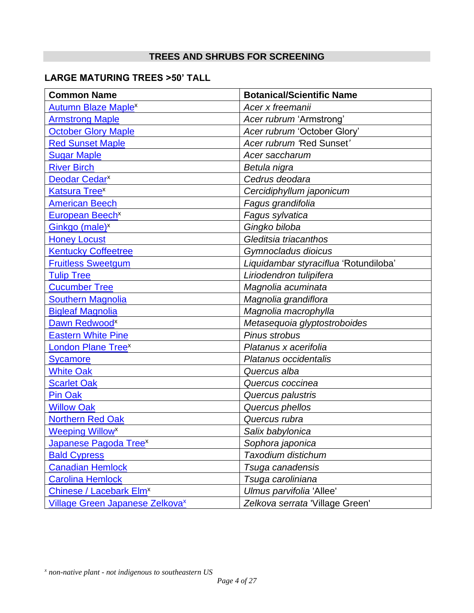# **TREES AND SHRUBS FOR SCREENING**

# **LARGE MATURING TREES >50' TALL**

| <b>Common Name</b>                                 | <b>Botanical/Scientific Name</b>      |
|----------------------------------------------------|---------------------------------------|
| <b>Autumn Blaze Maplex</b>                         | Acer x freemanii                      |
| <b>Armstrong Maple</b>                             | Acer rubrum 'Armstrong'               |
| <b>October Glory Maple</b>                         | Acer rubrum 'October Glory'           |
| <b>Red Sunset Maple</b>                            | Acer rubrum 'Red Sunset'              |
| <b>Sugar Maple</b>                                 | Acer saccharum                        |
| <b>River Birch</b>                                 | Betula nigra                          |
| Deodar Cedar <sup>x</sup>                          | Cedrus deodara                        |
| <b>Katsura Treex</b>                               | Cercidiphyllum japonicum              |
| <b>American Beech</b>                              | Fagus grandifolia                     |
| European Beech <sup>x</sup>                        | Fagus sylvatica                       |
| Ginkgo (male) <sup>x</sup>                         | Gingko biloba                         |
| <b>Honey Locust</b>                                | Gleditsia triacanthos                 |
| <b>Kentucky Coffeetree</b>                         | Gymnocladus dioicus                   |
| <b>Fruitless Sweetgum</b>                          | Liquidambar styraciflua 'Rotundiloba' |
| <b>Tulip Tree</b>                                  | Liriodendron tulipifera               |
| <b>Cucumber Tree</b>                               | Magnolia acuminata                    |
| <b>Southern Magnolia</b>                           | Magnolia grandiflora                  |
| <b>Bigleaf Magnolia</b>                            | Magnolia macrophylla                  |
| Dawn Redwood <sup>x</sup>                          | Metasequoia glyptostroboides          |
| <b>Eastern White Pine</b>                          | Pinus strobus                         |
| <b>London Plane Treex</b>                          | Platanus x acerifolia                 |
| <b>Sycamore</b>                                    | Platanus occidentalis                 |
| <b>White Oak</b>                                   | Quercus alba                          |
| <b>Scarlet Oak</b>                                 | Quercus coccinea                      |
| <b>Pin Oak</b>                                     | Quercus palustris                     |
| <b>Willow Oak</b>                                  | Quercus phellos                       |
| <b>Northern Red Oak</b>                            | Quercus rubra                         |
| <b>Weeping Willow</b> <sup>x</sup>                 | Salix babylonica                      |
| Japanese Pagoda Tree <sup>x</sup>                  | Sophora japonica                      |
| <b>Bald Cypress</b>                                | Taxodium distichum                    |
| <b>Canadian Hemlock</b>                            | Tsuga canadensis                      |
| <b>Carolina Hemlock</b>                            | Tsuga caroliniana                     |
| Chinese / Lacebark Elm <sup>x</sup>                | Ulmus parvifolia 'Allee'              |
| <b>Village Green Japanese Zelkova</b> <sup>x</sup> | Zelkova serrata 'Village Green'       |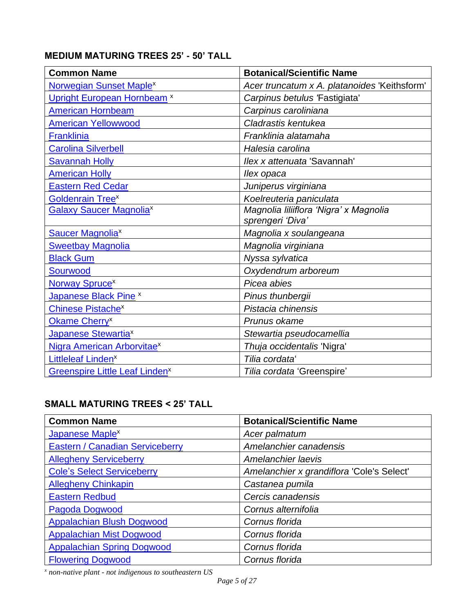# **MEDIUM MATURING TREES 25' - 50' TALL**

| <b>Common Name</b>                         | <b>Botanical/Scientific Name</b>                           |
|--------------------------------------------|------------------------------------------------------------|
| Norwegian Sunset Maple <sup>x</sup>        | Acer truncatum x A. platanoides 'Keithsform'               |
| Upright European Hornbeam <sup>x</sup>     | Carpinus betulus Fastigiata'                               |
| <b>American Hornbeam</b>                   | Carpinus caroliniana                                       |
| <b>American Yellowwood</b>                 | Cladrastis kentukea                                        |
| Franklinia                                 | Franklinia alatamaha                                       |
| <b>Carolina Silverbell</b>                 | Halesia carolina                                           |
| <b>Savannah Holly</b>                      | Ilex x attenuata 'Savannah'                                |
| <b>American Holly</b>                      | llex opaca                                                 |
| <b>Eastern Red Cedar</b>                   | Juniperus virginiana                                       |
| <b>Goldenrain Treex</b>                    | Koelreuteria paniculata                                    |
| <b>Galaxy Saucer Magnoliax</b>             | Magnolia liliiflora 'Nigra' x Magnolia<br>sprengeri 'Diva' |
| <b>Saucer Magnolia<sup>x</sup></b>         | Magnolia x soulangeana                                     |
| <b>Sweetbay Magnolia</b>                   | Magnolia virginiana                                        |
| <b>Black Gum</b>                           | Nyssa sylvatica                                            |
| Sourwood                                   | Oxydendrum arboreum                                        |
| Norway Spruce <sup>x</sup>                 | Picea abies                                                |
| Japanese Black Pine <sup>x</sup>           | Pinus thunbergii                                           |
| <b>Chinese Pistachex</b>                   | Pistacia chinensis                                         |
| Okame Cherry <sup>x</sup>                  | Prunus okame                                               |
| Japanese Stewartia <sup>x</sup>            | Stewartia pseudocamellia                                   |
| Nigra American Arborvitae <sup>x</sup>     | Thuja occidentalis 'Nigra'                                 |
| Littleleaf Linden <sup>x</sup>             | Tilia cordata                                              |
| Greenspire Little Leaf Linden <sup>x</sup> | Tilia cordata 'Greenspire'                                 |

# **SMALL MATURING TREES < 25' TALL**

| <b>Common Name</b>                     | <b>Botanical/Scientific Name</b>          |
|----------------------------------------|-------------------------------------------|
| Japanese Maple <sup>x</sup>            | Acer palmatum                             |
| <b>Eastern / Canadian Serviceberry</b> | Amelanchier canadensis                    |
| <b>Allegheny Serviceberry</b>          | Amelanchier laevis                        |
| <b>Cole's Select Serviceberry</b>      | Amelanchier x grandiflora 'Cole's Select' |
| <b>Allegheny Chinkapin</b>             | Castanea pumila                           |
| <b>Eastern Redbud</b>                  | Cercis canadensis                         |
| Pagoda Dogwood                         | Cornus alternifolia                       |
| Appalachian Blush Dogwood              | Cornus florida                            |
| <b>Appalachian Mist Dogwood</b>        | Cornus florida                            |
| <b>Appalachian Spring Dogwood</b>      | Cornus florida                            |
| <b>Flowering Dogwood</b>               | Cornus florida                            |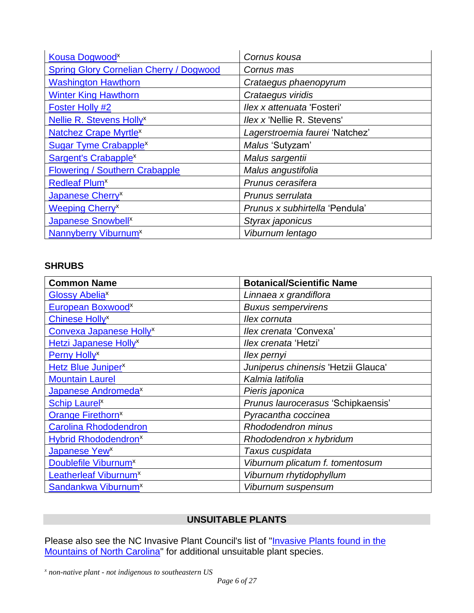| Kousa Dogwood <sup>x</sup>                     | Cornus kousa                      |
|------------------------------------------------|-----------------------------------|
| <b>Spring Glory Cornelian Cherry / Dogwood</b> | Cornus mas                        |
| <b>Washington Hawthorn</b>                     | Crataegus phaenopyrum             |
| <b>Winter King Hawthorn</b>                    | Crataegus viridis                 |
| Foster Holly #2                                | llex x attenuata 'Fosteri'        |
| Nellie R. Stevens Holly <sup>x</sup>           | <i>llex x</i> 'Nellie R. Stevens' |
| <b>Natchez Crape Myrtle<sup>x</sup></b>        | Lagerstroemia faurei 'Natchez'    |
| <b>Sugar Tyme Crabapple<sup>x</sup></b>        | Malus 'Sutyzam'                   |
| Sargent's Crabapple <sup>x</sup>               | Malus sargentii                   |
| <b>Flowering / Southern Crabapple</b>          | Malus angustifolia                |
| <b>Redleaf Plum<sup>x</sup></b>                | Prunus cerasifera                 |
| Japanese Cherry <sup>x</sup>                   | Prunus serrulata                  |
| <b>Weeping Cherry</b> <sup>x</sup>             | Prunus x subhirtella 'Pendula'    |
| <b>Japanese Snowbell</b> <sup>x</sup>          | Styrax japonicus                  |
| Nannyberry Viburnum <sup>x</sup>               | Viburnum lentago                  |

# **SHRUBS**

| <b>Common Name</b>                      | <b>Botanical/Scientific Name</b>    |
|-----------------------------------------|-------------------------------------|
| Glossy Abelia <sup>x</sup>              | Linnaea x grandiflora               |
| European Boxwood <sup>x</sup>           | <b>Buxus sempervirens</b>           |
| <b>Chinese Holly<sup>x</sup></b>        | llex cornuta                        |
| Convexa Japanese Holly <sup>x</sup>     | llex crenata 'Convexa'              |
| <b>Hetzi Japanese Holly<sup>x</sup></b> | <i>Ilex crenata 'Hetzi'</i>         |
| Perny Holly <sup>x</sup>                | llex pernyi                         |
| Hetz Blue Juniper <sup>x</sup>          | Juniperus chinensis 'Hetzii Glauca' |
| <b>Mountain Laurel</b>                  | Kalmia latifolia                    |
| Japanese Andromeda <sup>x</sup>         | Pieris japonica                     |
| <b>Schip Laurel<sup>x</sup></b>         | Prunus laurocerasus 'Schipkaensis'  |
| <b>Orange Firethorn<sup>x</sup></b>     | Pyracantha coccinea                 |
| <b>Carolina Rhododendron</b>            | <b>Rhododendron minus</b>           |
| <b>Hybrid Rhododendron<sup>x</sup></b>  | Rhododendron x hybridum             |
| Japanese Yew <sup>x</sup>               | Taxus cuspidata                     |
| Doublefile Viburnum <sup>x</sup>        | Viburnum plicatum f. tomentosum     |
| Leatherleaf Viburnum <sup>x</sup>       | Viburnum rhytidophyllum             |
| Sandankwa Viburnum <sup>x</sup>         | Viburnum suspensum                  |

# **UNSUITABLE PLANTS**

Please also see the NC Invasive Plant Council's list of "Invasive Plants found in the [Mountains of North Carolina"](http://nc-ipc.weebly.com/mountain-invasive-plants.html) for additional unsuitable plant species.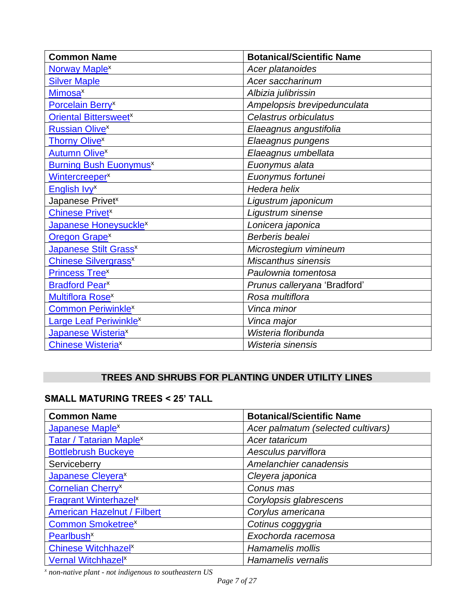| <b>Common Name</b>                       | <b>Botanical/Scientific Name</b> |
|------------------------------------------|----------------------------------|
| Norway Maple <sup>x</sup>                | Acer platanoides                 |
| <b>Silver Maple</b>                      | Acer saccharinum                 |
| <b>Mimosa</b> <sup>x</sup>               | Albizia julibrissin              |
| Porcelain Berry <sup>x</sup>             | Ampelopsis brevipedunculata      |
| <b>Oriental Bittersweet</b> <sup>x</sup> | Celastrus orbiculatus            |
| <b>Russian Olivex</b>                    | Elaeagnus angustifolia           |
| <b>Thorny Olive</b> <sup>x</sup>         | Elaeagnus pungens                |
| <b>Autumn Olivex</b>                     | Elaeagnus umbellata              |
| <b>Burning Bush Euonymus<sup>x</sup></b> | Euonymus alata                   |
| Wintercreeper <sup>x</sup>               | Euonymus fortunei                |
| English Ivy <sup>x</sup>                 | Hedera helix                     |
| Japanese Privet <sup>x</sup>             | Ligustrum japonicum              |
| <b>Chinese Privet</b> <sup>x</sup>       | Ligustrum sinense                |
| Japanese Honeysuckle <sup>x</sup>        | Lonicera japonica                |
| <b>Oregon Grape<sup>x</sup></b>          | Berberis bealei                  |
| <b>Japanese Stilt Grass<sup>x</sup></b>  | Microstegium vimineum            |
| <b>Chinese Silvergrass</b> <sup>x</sup>  | <b>Miscanthus sinensis</b>       |
| Princess Tree <sup>x</sup>               | Paulownia tomentosa              |
| <b>Bradford Pear</b> <sup>x</sup>        | Prunus calleryana 'Bradford'     |
| <b>Multiflora Rosex</b>                  | Rosa multiflora                  |
| <b>Common Periwinkle<sup>x</sup></b>     | Vinca minor                      |
| Large Leaf Periwinkle <sup>x</sup>       | Vinca major                      |
| Japanese Wisteria <sup>x</sup>           | Wisteria floribunda              |
| <b>Chinese Wisteriax</b>                 | Wisteria sinensis                |

# **TREES AND SHRUBS FOR PLANTING UNDER UTILITY LINES**

# **SMALL MATURING TREES < 25' TALL**

| <b>Common Name</b>                      | <b>Botanical/Scientific Name</b>   |
|-----------------------------------------|------------------------------------|
| Japanese Maple <sup>x</sup>             | Acer palmatum (selected cultivars) |
| <b>Tatar / Tatarian Maplex</b>          | Acer tataricum                     |
| <b>Bottlebrush Buckeye</b>              | Aesculus parviflora                |
| Serviceberry                            | Amelanchier canadensis             |
| Japanese Cleyera <sup>x</sup>           | Cleyera japonica                   |
| <b>Cornelian Cherry</b> <sup>x</sup>    | Conus mas                          |
| <b>Fragrant Winterhazel<sup>x</sup></b> | Corylopsis glabrescens             |
| <b>American Hazelnut / Filbert</b>      | Corylus americana                  |
| <b>Common Smoketree<sup>x</sup></b>     | Cotinus coggygria                  |
| <b>Pearlbush<sup>x</sup></b>            | Exochorda racemosa                 |
| <b>Chinese Witchhazel</b> <sup>x</sup>  | Hamamelis mollis                   |
| Vernal Witchhazel <sup>x</sup>          | Hamamelis vernalis                 |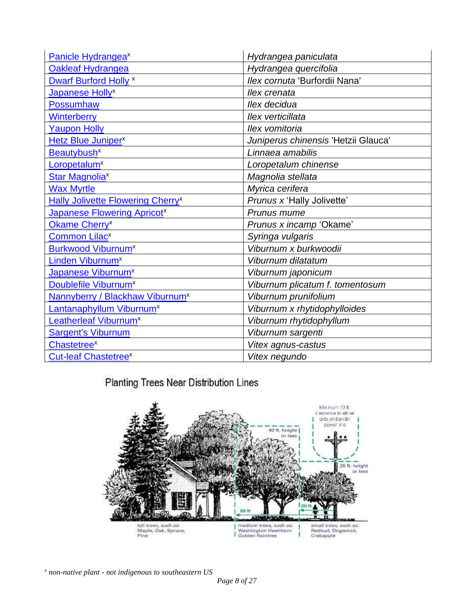| Panicle Hydrangea <sup>x</sup>                       | Hydrangea paniculata                |
|------------------------------------------------------|-------------------------------------|
| <b>Oakleaf Hydrangea</b>                             | Hydrangea quercifolia               |
| Dwarf Burford Holly <sup>x</sup>                     | Ilex cornuta 'Burfordii Nana'       |
| Japanese Holly <sup>x</sup>                          | llex crenata                        |
| <b>Possumhaw</b>                                     | llex decidua                        |
| <b>Winterberry</b>                                   | llex verticillata                   |
| <b>Yaupon Holly</b>                                  | Ilex vomitoria                      |
| Hetz Blue Juniper <sup>x</sup>                       | Juniperus chinensis 'Hetzii Glauca' |
| Beautybush <sup>x</sup>                              | Linnaea amabilis                    |
| Loropetalum <sup>x</sup>                             | Loropetalum chinense                |
| <b>Star Magnolia<sup>x</sup></b>                     | Magnolia stellata                   |
| <b>Wax Myrtle</b>                                    | Myrica cerifera                     |
| <b>Hally Jolivette Flowering Cherry</b> <sup>x</sup> | Prunus x 'Hally Jolivette'          |
| <b>Japanese Flowering Apricot</b> <sup>x</sup>       | Prunus mume                         |
| Okame Cherry <sup>x</sup>                            | Prunus x incamp 'Okame'             |
| <b>Common Lilacx</b>                                 | Syringa vulgaris                    |
| <b>Burkwood Viburnum<sup>x</sup></b>                 | Viburnum x burkwoodii               |
| Linden Viburnum <sup>x</sup>                         | Viburnum dilatatum                  |
| Japanese Viburnum <sup>x</sup>                       | Viburnum japonicum                  |
| Doublefile Viburnum <sup>x</sup>                     | Viburnum plicatum f. tomentosum     |
| Nannyberry / Blackhaw Viburnum <sup>x</sup>          | Viburnum prunifolium                |
| Lantanaphyllum Viburnum <sup>x</sup>                 | Viburnum x rhytidophylloides        |
| Leatherleaf Viburnum <sup>x</sup>                    | Viburnum rhytidophyllum             |
| <b>Sargent's Viburnum</b>                            | Viburnum sargenti                   |
| <b>Chastetree</b> <sup>x</sup>                       | Vitex agnus-castus                  |
| <b>Cut-leaf Chastetree</b> <sup>x</sup>              | Vitex negundo                       |

Planting Trees Near Distribution Lines

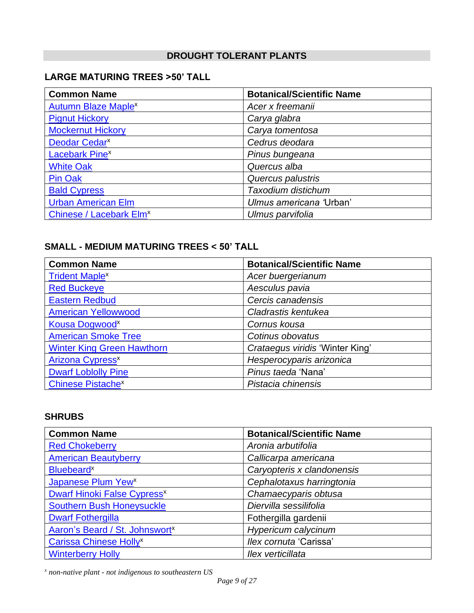# **DROUGHT TOLERANT PLANTS**

# **LARGE MATURING TREES >50' TALL**

| <b>Common Name</b>                    | <b>Botanical/Scientific Name</b> |
|---------------------------------------|----------------------------------|
| <b>Autumn Blaze Maple<sup>x</sup></b> | Acer x freemanii                 |
| <b>Pignut Hickory</b>                 | Carya glabra                     |
| <b>Mockernut Hickory</b>              | Carya tomentosa                  |
| Deodar Cedar <sup>x</sup>             | Cedrus deodara                   |
| <b>Lacebark Pinex</b>                 | Pinus bungeana                   |
| <b>White Oak</b>                      | Quercus alba                     |
| <b>Pin Oak</b>                        | Quercus palustris                |
| <b>Bald Cypress</b>                   | Taxodium distichum               |
| <b>Urban American Elm</b>             | Ulmus americana 'Urban'          |
| Chinese / Lacebark Elm <sup>x</sup>   | Ulmus parvifolia                 |

## **SMALL - MEDIUM MATURING TREES < 50' TALL**

| <b>Common Name</b>                  | <b>Botanical/Scientific Name</b> |
|-------------------------------------|----------------------------------|
| <b>Trident Maple<sup>x</sup></b>    | Acer buergerianum                |
| <b>Red Buckeye</b>                  | Aesculus pavia                   |
| <b>Eastern Redbud</b>               | Cercis canadensis                |
| <b>American Yellowwood</b>          | Cladrastis kentukea              |
| Kousa Dogwood <sup>x</sup>          | Cornus kousa                     |
| <b>American Smoke Tree</b>          | Cotinus obovatus                 |
| <b>Winter King Green Hawthorn</b>   | Crataegus viridis 'Winter King'  |
| <b>Arizona Cypress<sup>x</sup></b>  | Hesperocyparis arizonica         |
| <b>Dwarf Loblolly Pine</b>          | Pinus taeda 'Nana'               |
| <b>Chinese Pistache<sup>x</sup></b> | Pistacia chinensis               |

#### **SHRUBS**

| <b>Common Name</b>                            | <b>Botanical/Scientific Name</b> |
|-----------------------------------------------|----------------------------------|
| <b>Red Chokeberry</b>                         | Aronia arbutifolia               |
| <b>American Beautyberry</b>                   | Callicarpa americana             |
| <b>Bluebeard<sup>x</sup></b>                  | Caryopteris x clandonensis       |
| Japanese Plum Yew <sup>x</sup>                | Cephalotaxus harringtonia        |
| <b>Dwarf Hinoki False Cypress<sup>x</sup></b> | Chamaecyparis obtusa             |
| <b>Southern Bush Honeysuckle</b>              | Diervilla sessilifolia           |
| <b>Dwarf Fothergilla</b>                      | Fothergilla gardenii             |
| Aaron's Beard / St. Johnswort <sup>x</sup>    | Hypericum calycinum              |
| <b>Carissa Chinese Holly<sup>x</sup></b>      | llex cornuta 'Carissa'           |
| <b>Winterberry Holly</b>                      | Ilex verticillata                |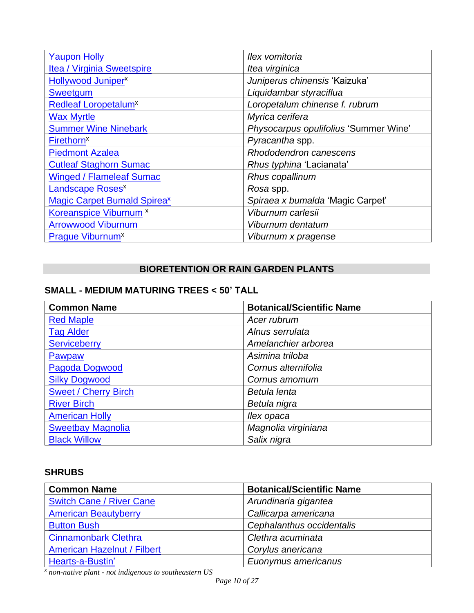| <b>Yaupon Holly</b>                     | Ilex vomitoria                        |
|-----------------------------------------|---------------------------------------|
| Itea / Virginia Sweetspire              | Itea virginica                        |
| Hollywood Juniper <sup>x</sup>          | Juniperus chinensis 'Kaizuka'         |
| Sweetgum                                | Liquidambar styraciflua               |
| <b>Redleaf Loropetalum</b> <sup>x</sup> | Loropetalum chinense f. rubrum        |
| <b>Wax Myrtle</b>                       | Myrica cerifera                       |
| <b>Summer Wine Ninebark</b>             | Physocarpus opulifolius 'Summer Wine' |
| <b>Firethorn<sup>x</sup></b>            | Pyracantha spp.                       |
| <b>Piedmont Azalea</b>                  | Rhododendron canescens                |
| <b>Cutleaf Staghorn Sumac</b>           | Rhus typhina 'Lacianata'              |
| <b>Winged / Flameleaf Sumac</b>         | Rhus copallinum                       |
| Landscape Roses <sup>x</sup>            | Rosa spp.                             |
| <b>Magic Carpet Bumald Spireax</b>      | Spiraea x bumalda 'Magic Carpet'      |
| Koreanspice Viburnum <sup>x</sup>       | Viburnum carlesii                     |
| <b>Arrowwood Viburnum</b>               | Viburnum dentatum                     |
| <b>Praque Viburnum<sup>x</sup></b>      | Viburnum x pragense                   |

# **BIORETENTION OR RAIN GARDEN PLANTS**

# **SMALL - MEDIUM MATURING TREES < 50' TALL**

| <b>Common Name</b>          | <b>Botanical/Scientific Name</b> |
|-----------------------------|----------------------------------|
| <b>Red Maple</b>            | Acer rubrum                      |
| <b>Tag Alder</b>            | Alnus serrulata                  |
| <b>Serviceberry</b>         | Amelanchier arborea              |
| Pawpaw                      | Asimina triloba                  |
| Pagoda Dogwood              | Cornus alternifolia              |
| <b>Silky Dogwood</b>        | Cornus amomum                    |
| <b>Sweet / Cherry Birch</b> | Betula lenta                     |
| <b>River Birch</b>          | Betula nigra                     |
| <b>American Holly</b>       | llex opaca                       |
| <b>Sweetbay Magnolia</b>    | Magnolia virginiana              |
| <b>Black Willow</b>         | Salix nigra                      |

# **SHRUBS**

| <b>Common Name</b>                 | <b>Botanical/Scientific Name</b> |
|------------------------------------|----------------------------------|
| <b>Switch Cane / River Cane</b>    | Arundinaria gigantea             |
| <b>American Beautyberry</b>        | Callicarpa americana             |
| <b>Button Bush</b>                 | Cephalanthus occidentalis        |
| <b>Cinnamonbark Clethra</b>        | Clethra acuminata                |
| <b>American Hazelnut / Filbert</b> | Corylus anericana                |
| Hearts-a-Bustin'                   | Euonymus americanus              |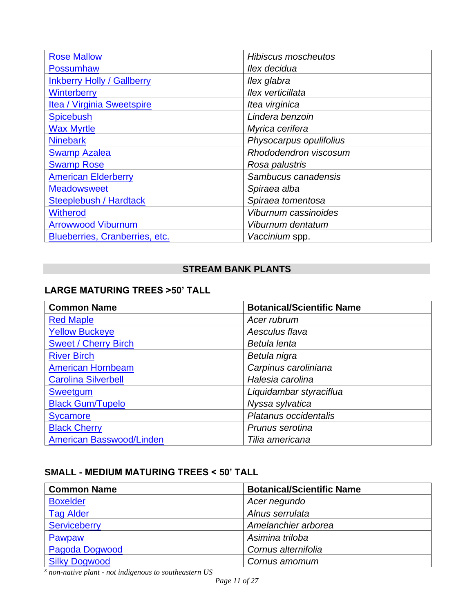| <b>Rose Mallow</b>                | <b>Hibiscus moscheutos</b> |
|-----------------------------------|----------------------------|
| <b>Possumhaw</b>                  | Ilex decidua               |
| <b>Inkberry Holly / Gallberry</b> | llex glabra                |
| Winterberry                       | Ilex verticillata          |
| Itea / Virginia Sweetspire        | Itea virginica             |
| <b>Spicebush</b>                  | Lindera benzoin            |
| <b>Wax Myrtle</b>                 | Myrica cerifera            |
| <b>Ninebark</b>                   | Physocarpus opulifolius    |
| <b>Swamp Azalea</b>               | Rhododendron viscosum      |
| <b>Swamp Rose</b>                 | Rosa palustris             |
| <b>American Elderberry</b>        | Sambucus canadensis        |
| <b>Meadowsweet</b>                | Spiraea alba               |
| <b>Steeplebush / Hardtack</b>     | Spiraea tomentosa          |
| <b>Witherod</b>                   | Viburnum cassinoides       |
| <b>Arrowwood Viburnum</b>         | Viburnum dentatum          |
| Blueberries, Cranberries, etc.    | Vaccinium spp.             |

# **STREAM BANK PLANTS**

# **LARGE MATURING TREES >50' TALL**

| <b>Common Name</b>              | <b>Botanical/Scientific Name</b> |
|---------------------------------|----------------------------------|
| <b>Red Maple</b>                | Acer rubrum                      |
| <b>Yellow Buckeye</b>           | Aesculus flava                   |
| <b>Sweet / Cherry Birch</b>     | Betula lenta                     |
| <b>River Birch</b>              | Betula nigra                     |
| <b>American Hornbeam</b>        | Carpinus caroliniana             |
| <b>Carolina Silverbell</b>      | Halesia carolina                 |
| <b>Sweetgum</b>                 | Liquidambar styraciflua          |
| <b>Black Gum/Tupelo</b>         | Nyssa sylvatica                  |
| <b>Sycamore</b>                 | Platanus occidentalis            |
| <b>Black Cherry</b>             | Prunus serotina                  |
| <b>American Basswood/Linden</b> | Tilia americana                  |

# **SMALL - MEDIUM MATURING TREES < 50' TALL**

| <b>Common Name</b>   | <b>Botanical/Scientific Name</b> |
|----------------------|----------------------------------|
| <b>Boxelder</b>      | Acer negundo                     |
| <b>Tag Alder</b>     | Alnus serrulata                  |
| Serviceberry         | Amelanchier arborea              |
| Pawpaw               | Asimina triloba                  |
| Pagoda Dogwood       | Cornus alternifolia              |
| <b>Silky Dogwood</b> | Cornus amomum                    |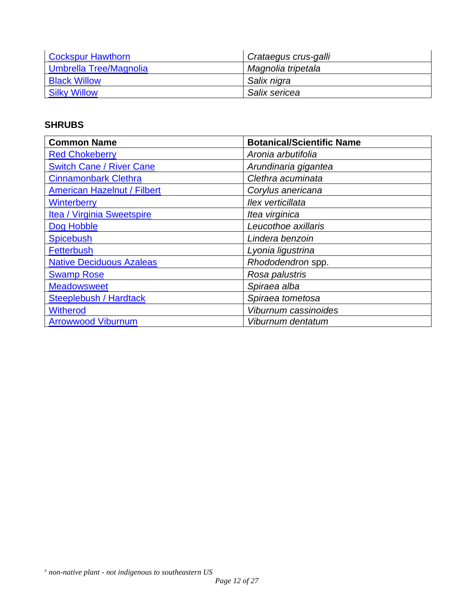| <b>Cockspur Hawthorn</b> | Crataegus crus-galli |
|--------------------------|----------------------|
| Umbrella Tree/Magnolia   | Magnolia tripetala   |
| <b>Black Willow</b>      | Salix nigra          |
| <b>Silky Willow</b>      | Salix sericea        |

# **SHRUBS**

| <b>Common Name</b>                 | <b>Botanical/Scientific Name</b> |
|------------------------------------|----------------------------------|
| <b>Red Chokeberry</b>              | Aronia arbutifolia               |
| <b>Switch Cane / River Cane</b>    | Arundinaria gigantea             |
| <b>Cinnamonbark Clethra</b>        | Clethra acuminata                |
| <b>American Hazelnut / Filbert</b> | Corylus anericana                |
| <b>Winterberry</b>                 | Ilex verticillata                |
| Itea / Virginia Sweetspire         | Itea virginica                   |
| Dog Hobble                         | Leucothoe axillaris              |
| <b>Spicebush</b>                   | Lindera benzoin                  |
| <b>Fetterbush</b>                  | Lyonia ligustrina                |
| <b>Native Deciduous Azaleas</b>    | Rhododendron spp.                |
| <b>Swamp Rose</b>                  | Rosa palustris                   |
| <b>Meadowsweet</b>                 | Spiraea alba                     |
| <b>Steeplebush / Hardtack</b>      | Spiraea tometosa                 |
| <b>Witherod</b>                    | Viburnum cassinoides             |
| <b>Arrowwood Viburnum</b>          | Viburnum dentatum                |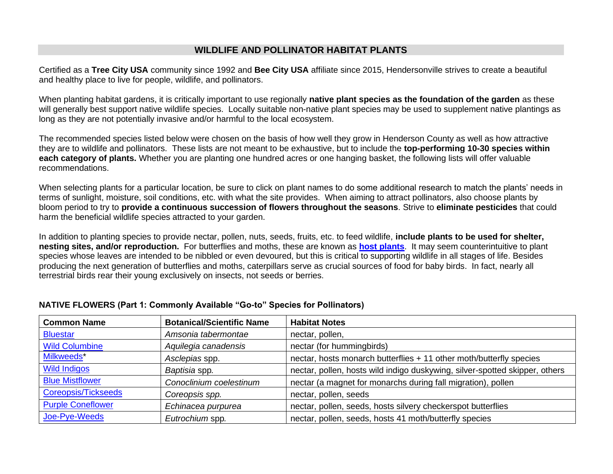### **WILDLIFE AND POLLINATOR HABITAT PLANTS**

Certified as a **Tree City USA** community since 1992 and **Bee City USA** affiliate since 2015, Hendersonville strives to create a beautiful and healthy place to live for people, wildlife, and pollinators.

When planting habitat gardens, it is critically important to use regionally **native plant species as the foundation of the garden** as these will generally best support native wildlife species. Locally suitable non-native plant species may be used to supplement native plantings as long as they are not potentially invasive and/or harmful to the local ecosystem.

The recommended species listed below were chosen on the basis of how well they grow in Henderson County as well as how attractive they are to wildlife and pollinators. These lists are not meant to be exhaustive, but to include the **top-performing 10-30 species within each category of plants.** Whether you are planting one hundred acres or one hanging basket, the following lists will offer valuable recommendations.

When selecting plants for a particular location, be sure to click on plant names to do some additional research to match the plants' needs in terms of sunlight, moisture, soil conditions, etc. with what the site provides. When aiming to attract pollinators, also choose plants by bloom period to try to **provide a continuous succession of flowers throughout the seasons**. Strive to **eliminate pesticides** that could harm the beneficial wildlife species attracted to your garden.

In addition to planting species to provide nectar, pollen, nuts, seeds, fruits, etc. to feed wildlife, **include plants to be used for shelter, nesting sites, and/or reproduction.** For butterflies and moths, these are known as **[host plants](https://www.wildones.org/wp-content/images/NativeCaterpillarsMothsButterfliesHostNativeWoodies.pdf)**. It may seem counterintuitive to plant species whose leaves are intended to be nibbled or even devoured, but this is critical to supporting wildlife in all stages of life. Besides producing the next generation of butterflies and moths, caterpillars serve as crucial sources of food for baby birds. In fact, nearly all terrestrial birds rear their young exclusively on insects, not seeds or berries.

| <b>Common Name</b>       | <b>Botanical/Scientific Name</b> | <b>Habitat Notes</b>                                                        |
|--------------------------|----------------------------------|-----------------------------------------------------------------------------|
| <b>Bluestar</b>          | Amsonia tabermontae              | nectar, pollen,                                                             |
| <b>Wild Columbine</b>    | Aquilegia canadensis             | nectar (for hummingbirds)                                                   |
| Milkweeds*               | Asclepias spp.                   | nectar, hosts monarch butterflies + 11 other moth/butterfly species         |
| <b>Wild Indigos</b>      | Baptisia spp.                    | nectar, pollen, hosts wild indigo duskywing, silver-spotted skipper, others |
| <b>Blue Mistflower</b>   | Conoclinium coelestinum          | nectar (a magnet for monarchs during fall migration), pollen                |
| Coreopsis/Tickseeds      | Coreopsis spp.                   | nectar, pollen, seeds                                                       |
| <b>Purple Coneflower</b> | Echinacea purpurea               | nectar, pollen, seeds, hosts silvery checkerspot butterflies                |
| Joe-Pye-Weeds            | Eutrochium spp.                  | nectar, pollen, seeds, hosts 41 moth/butterfly species                      |

#### **NATIVE FLOWERS (Part 1: Commonly Available "Go-to" Species for Pollinators)**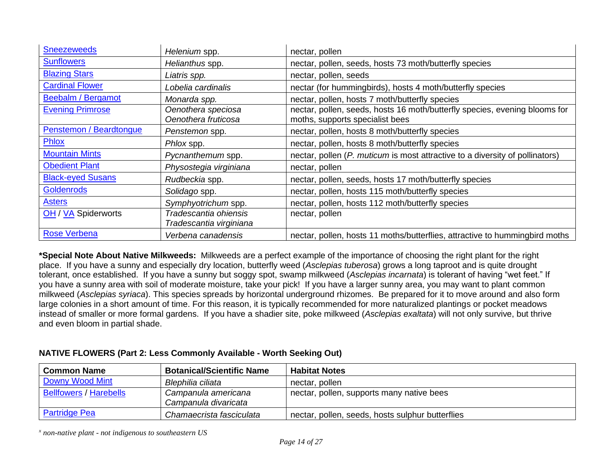| <b>Sneezeweeds</b>         | Helenium spp.                                    | nectar, pollen                                                                                                |
|----------------------------|--------------------------------------------------|---------------------------------------------------------------------------------------------------------------|
| <b>Sunflowers</b>          | Helianthus spp.                                  | nectar, pollen, seeds, hosts 73 moth/butterfly species                                                        |
| <b>Blazing Stars</b>       | Liatris spp.                                     | nectar, pollen, seeds                                                                                         |
| <b>Cardinal Flower</b>     | Lobelia cardinalis                               | nectar (for hummingbirds), hosts 4 moth/butterfly species                                                     |
| <b>Beebalm / Bergamot</b>  | Monarda spp.                                     | nectar, pollen, hosts 7 moth/butterfly species                                                                |
| <b>Evening Primrose</b>    | Oenothera speciosa<br>Oenothera fruticosa        | nectar, pollen, seeds, hosts 16 moth/butterfly species, evening blooms for<br>moths, supports specialist bees |
| Penstemon / Beardtongue    | Penstemon spp.                                   | nectar, pollen, hosts 8 moth/butterfly species                                                                |
| Phlox                      | Phlox spp.                                       | nectar, pollen, hosts 8 moth/butterfly species                                                                |
| <b>Mountain Mints</b>      | Pycnanthemum spp.                                | nectar, pollen (P. muticum is most attractive to a diversity of pollinators)                                  |
| <b>Obedient Plant</b>      | Physostegia virginiana                           | nectar, pollen                                                                                                |
| <b>Black-eyed Susans</b>   | Rudbeckia spp.                                   | nectar, pollen, seeds, hosts 17 moth/butterfly species                                                        |
| <b>Goldenrods</b>          | Solidago spp.                                    | nectar, pollen, hosts 115 moth/butterfly species                                                              |
| <b>Asters</b>              | Symphyotrichum spp.                              | nectar, pollen, hosts 112 moth/butterfly species                                                              |
| <b>OH / VA Spiderworts</b> | Tradescantia ohiensis<br>Tradescantia virginiana | nectar, pollen                                                                                                |
| <b>Rose Verbena</b>        | Verbena canadensis                               | nectar, pollen, hosts 11 moths/butterflies, attractive to hummingbird moths                                   |

**\*Special Note About Native Milkweeds:** Milkweeds are a perfect example of the importance of choosing the right plant for the right place. If you have a sunny and especially dry location, butterfly weed (*Asclepias tuberosa*) grows a long taproot and is quite drought tolerant, once established. If you have a sunny but soggy spot, swamp milkweed (*Asclepias incarnata*) is tolerant of having "wet feet." If you have a sunny area with soil of moderate moisture, take your pick! If you have a larger sunny area, you may want to plant common milkweed (*Asclepias syriaca*). This species spreads by horizontal underground rhizomes. Be prepared for it to move around and also form large colonies in a short amount of time. For this reason, it is typically recommended for more naturalized plantings or pocket meadows instead of smaller or more formal gardens. If you have a shadier site, poke milkweed (*Asclepias exaltata*) will not only survive, but thrive and even bloom in partial shade.

### **NATIVE FLOWERS (Part 2: Less Commonly Available - Worth Seeking Out)**

| <b>Common Name</b>            | <b>Botanical/Scientific Name</b>            | <b>Habitat Notes</b>                             |
|-------------------------------|---------------------------------------------|--------------------------------------------------|
| <b>Downy Wood Mint</b>        | Blephilia ciliata                           | nectar, pollen                                   |
| <b>Bellfowers / Harebells</b> | Campanula americana<br>Campanula divaricata | nectar, pollen, supports many native bees        |
| <b>Partridge Pea</b>          | Chamaecrista fasciculata                    | nectar, pollen, seeds, hosts sulphur butterflies |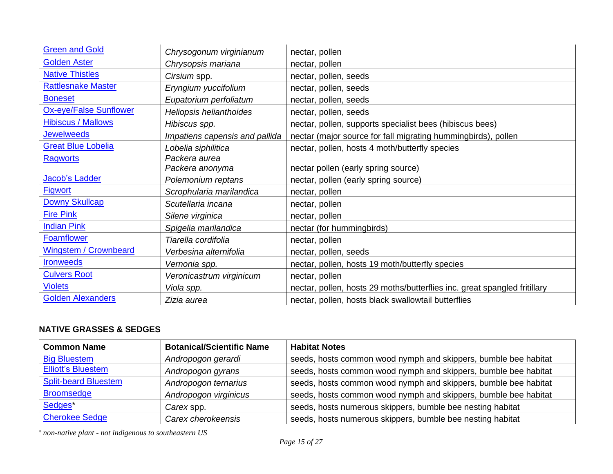| <b>Green and Gold</b>         | Chrysogonum virginianum          | nectar, pollen                                                            |
|-------------------------------|----------------------------------|---------------------------------------------------------------------------|
| <b>Golden Aster</b>           | Chrysopsis mariana               | nectar, pollen                                                            |
| <b>Native Thistles</b>        | Cirsium spp.                     | nectar, pollen, seeds                                                     |
| <b>Rattlesnake Master</b>     | Eryngium yuccifolium             | nectar, pollen, seeds                                                     |
| <b>Boneset</b>                | Eupatorium perfoliatum           | nectar, pollen, seeds                                                     |
| <b>Ox-eye/False Sunflower</b> | Heliopsis helianthoides          | nectar, pollen, seeds                                                     |
| <b>Hibiscus / Mallows</b>     | Hibiscus spp.                    | nectar, pollen, supports specialist bees (hibiscus bees)                  |
| <b>Jewelweeds</b>             | Impatiens capensis and pallida   | nectar (major source for fall migrating hummingbirds), pollen             |
| <b>Great Blue Lobelia</b>     | Lobelia siphilitica              | nectar, pollen, hosts 4 moth/butterfly species                            |
| <b>Ragworts</b>               | Packera aurea<br>Packera anonyma | nectar pollen (early spring source)                                       |
| <b>Jacob's Ladder</b>         | Polemonium reptans               | nectar, pollen (early spring source)                                      |
| <b>Figwort</b>                | Scrophularia marilandica         | nectar, pollen                                                            |
| <b>Downy Skullcap</b>         | Scutellaria incana               | nectar, pollen                                                            |
| <b>Fire Pink</b>              | Silene virginica                 | nectar, pollen                                                            |
| <b>Indian Pink</b>            | Spigelia marilandica             | nectar (for hummingbirds)                                                 |
| <b>Foamflower</b>             | Tiarella cordifolia              | nectar, pollen                                                            |
| <b>Wingstem / Crownbeard</b>  | Verbesina alternifolia           | nectar, pollen, seeds                                                     |
| <b>Ironweeds</b>              | Vernonia spp.                    | nectar, pollen, hosts 19 moth/butterfly species                           |
| <b>Culvers Root</b>           | Veronicastrum virginicum         | nectar, pollen                                                            |
| <b>Violets</b>                | Viola spp.                       | nectar, pollen, hosts 29 moths/butterflies inc. great spangled fritillary |
| <b>Golden Alexanders</b>      | Zizia aurea                      | nectar, pollen, hosts black swallowtail butterflies                       |

# **NATIVE GRASSES & SEDGES**

| <b>Common Name</b>          | <b>Botanical/Scientific Name</b> | <b>Habitat Notes</b>                                            |
|-----------------------------|----------------------------------|-----------------------------------------------------------------|
| <b>Big Bluestem</b>         | Andropogon gerardi               | seeds, hosts common wood nymph and skippers, bumble bee habitat |
| <b>Elliott's Bluestem</b>   | Andropogon gyrans                | seeds, hosts common wood nymph and skippers, bumble bee habitat |
| <b>Split-beard Bluestem</b> | Andropogon ternarius             | seeds, hosts common wood nymph and skippers, bumble bee habitat |
| <b>Broomsedge</b>           | Andropogon virginicus            | seeds, hosts common wood nymph and skippers, bumble bee habitat |
| Sedges*                     | Carex spp.                       | seeds, hosts numerous skippers, bumble bee nesting habitat      |
| <b>Cherokee Sedge</b>       | Carex cherokeensis               | seeds, hosts numerous skippers, bumble bee nesting habitat      |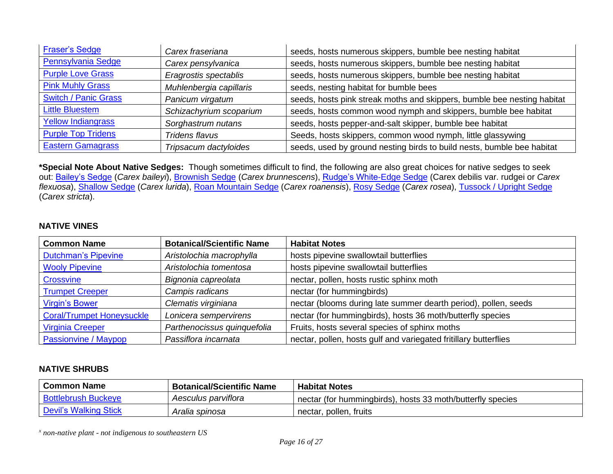| <b>Fraser's Sedge</b>       | Carex fraseriana        | seeds, hosts numerous skippers, bumble bee nesting habitat              |
|-----------------------------|-------------------------|-------------------------------------------------------------------------|
| Pennsylvania Sedge          | Carex pensylvanica      | seeds, hosts numerous skippers, bumble bee nesting habitat              |
| <b>Purple Love Grass</b>    | Eragrostis spectablis   | seeds, hosts numerous skippers, bumble bee nesting habitat              |
| <b>Pink Muhly Grass</b>     | Muhlenbergia capillaris | seeds, nesting habitat for bumble bees                                  |
| <b>Switch / Panic Grass</b> | Panicum virgatum        | seeds, hosts pink streak moths and skippers, bumble bee nesting habitat |
| <b>Little Bluestem</b>      | Schizachyrium scoparium | seeds, hosts common wood nymph and skippers, bumble bee habitat         |
| <b>Yellow Indiangrass</b>   | Sorghastrum nutans      | seeds, hosts pepper-and-salt skipper, bumble bee habitat                |
| <b>Purple Top Tridens</b>   | Tridens flavus          | Seeds, hosts skippers, common wood nymph, little glassywing             |
| <b>Eastern Gamagrass</b>    | Tripsacum dactyloides   | seeds, used by ground nesting birds to build nests, bumble bee habitat  |

**\*Special Note About Native Sedges:** Though sometimes difficult to find, the following are also great choices for native sedges to seek out: [Bailey's Sedge](https://www.wildflower.org/plants/result.php?id_plant=CABA7) (*Carex baileyi*), [Brownish Sedge](https://www.wildflower.org/plants/result.php?id_plant=CABR15) (*Carex brunnescens*), [Rudge's White-Edge Sedge](https://www.wildflower.org/plants/result.php?id_plant=CADER) (Carex debilis var. rudgei or *Carex flexuosa*), [Shallow Sedge](https://www.wildflower.org/plants/result.php?id_plant=CALU5) (*Carex lurida*), [Roan Mountain Sedge](https://www.wildflower.org/plants/result.php?id_plant=CARO10) (*Carex roanensis*), [Rosy Sedge](https://www.wildflower.org/plants/result.php?id_plant=CARO22) (*Carex rosea*), [Tussock / Upright Sedge](https://www.wildflower.org/plants/result.php?id_plant=cast8) (*Carex stricta*).

#### **NATIVE VINES**

| <b>Common Name</b>               | <b>Botanical/Scientific Name</b> | <b>Habitat Notes</b>                                             |
|----------------------------------|----------------------------------|------------------------------------------------------------------|
| <b>Dutchman's Pipevine</b>       | Aristolochia macrophylla         | hosts pipevine swallowtail butterflies                           |
| <b>Wooly Pipevine</b>            | Aristolochia tomentosa           | hosts pipevine swallowtail butterflies                           |
| Crossvine                        | Bignonia capreolata              | nectar, pollen, hosts rustic sphinx moth                         |
| <b>Trumpet Creeper</b>           | Campis radicans                  | nectar (for hummingbirds)                                        |
| <b>Virgin's Bower</b>            | Clematis virginiana              | nectar (blooms during late summer dearth period), pollen, seeds  |
| <b>Coral/Trumpet Honeysuckle</b> | Lonicera sempervirens            | nectar (for hummingbirds), hosts 36 moth/butterfly species       |
| <b>Virginia Creeper</b>          | Parthenocissus quinquefolia      | Fruits, hosts several species of sphinx moths                    |
| Passionvine / Maypop             | Passiflora incarnata             | nectar, pollen, hosts gulf and variegated fritillary butterflies |

#### **NATIVE SHRUBS**

| <b>Common Name</b>           | <b>Botanical/Scientific Name</b> | <b>Habitat Notes</b>                                       |
|------------------------------|----------------------------------|------------------------------------------------------------|
| <b>Bottlebrush Buckeye</b>   | Aesculus parviflora              | nectar (for hummingbirds), hosts 33 moth/butterfly species |
| <b>Devil's Walking Stick</b> | Aralia spinosa                   | nectar, pollen, fruits                                     |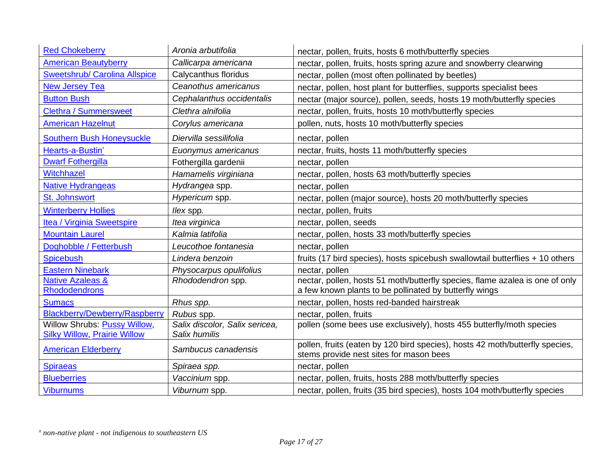| <b>Red Chokeberry</b>                                               | Aronia arbutifolia                              | nectar, pollen, fruits, hosts 6 moth/butterfly species                                                                                 |
|---------------------------------------------------------------------|-------------------------------------------------|----------------------------------------------------------------------------------------------------------------------------------------|
| <b>American Beautyberry</b>                                         | Callicarpa americana                            | nectar, pollen, fruits, hosts spring azure and snowberry clearwing                                                                     |
| <b>Sweetshrub/ Carolina Allspice</b>                                | Calycanthus floridus                            | nectar, pollen (most often pollinated by beetles)                                                                                      |
| <b>New Jersey Tea</b>                                               | Ceanothus americanus                            | nectar, pollen, host plant for butterflies, supports specialist bees                                                                   |
| <b>Button Bush</b>                                                  | Cephalanthus occidentalis                       | nectar (major source), pollen, seeds, hosts 19 moth/butterfly species                                                                  |
| <b>Clethra / Summersweet</b>                                        | Clethra alnifolia                               | nectar, pollen, fruits, hosts 10 moth/butterfly species                                                                                |
| <b>American Hazelnut</b>                                            | Corylus americana                               | pollen, nuts, hosts 10 moth/butterfly species                                                                                          |
| <b>Southern Bush Honeysuckle</b>                                    | Diervilla sessilifolia                          | nectar, pollen                                                                                                                         |
| Hearts-a-Bustin'                                                    | Euonymus americanus                             | nectar, fruits, hosts 11 moth/butterfly species                                                                                        |
| <b>Dwarf Fothergilla</b>                                            | Fothergilla gardenii                            | nectar, pollen                                                                                                                         |
| Witchhazel                                                          | Hamamelis virginiana                            | nectar, pollen, hosts 63 moth/butterfly species                                                                                        |
| <b>Native Hydrangeas</b>                                            | Hydrangea spp.                                  | nectar, pollen                                                                                                                         |
| St. Johnswort                                                       | Hypericum spp.                                  | nectar, pollen (major source), hosts 20 moth/butterfly species                                                                         |
| <b>Winterberry Hollies</b>                                          | llex spp.                                       | nectar, pollen, fruits                                                                                                                 |
| Itea / Virginia Sweetspire                                          | Itea virginica                                  | nectar, pollen, seeds                                                                                                                  |
| <b>Mountain Laurel</b>                                              | Kalmia latifolia                                | nectar, pollen, hosts 33 moth/butterfly species                                                                                        |
| Doghobble / Fetterbush                                              | Leucothoe fontanesia                            | nectar, pollen                                                                                                                         |
| <b>Spicebush</b>                                                    | Lindera benzoin                                 | fruits (17 bird species), hosts spicebush swallowtail butterflies + 10 others                                                          |
| <b>Eastern Ninebark</b>                                             | Physocarpus opulifolius                         | nectar, pollen                                                                                                                         |
| <b>Native Azaleas &amp;</b><br><b>Rhododendrons</b>                 | Rhododendron spp.                               | nectar, pollen, hosts 51 moth/butterfly species, flame azalea is one of only<br>a few known plants to be pollinated by butterfly wings |
| <b>Sumacs</b>                                                       | Rhus spp.                                       | nectar, pollen, hosts red-banded hairstreak                                                                                            |
| Blackberry/Dewberry/Raspberry                                       | Rubus spp.                                      | nectar, pollen, fruits                                                                                                                 |
| Willow Shrubs: Pussy Willow,<br><b>Silky Willow, Prairie Willow</b> | Salix discolor, Salix sericea,<br>Salix humilis | pollen (some bees use exclusively), hosts 455 butterfly/moth species                                                                   |
| <b>American Elderberry</b>                                          | Sambucus canadensis                             | pollen, fruits (eaten by 120 bird species), hosts 42 moth/butterfly species,<br>stems provide nest sites for mason bees                |
| <b>Spiraeas</b>                                                     | Spiraea spp.                                    | nectar, pollen                                                                                                                         |
| <b>Blueberries</b>                                                  | Vaccinium spp.                                  | nectar, pollen, fruits, hosts 288 moth/butterfly species                                                                               |
| <b>Viburnums</b>                                                    | Viburnum spp.                                   | nectar, pollen, fruits (35 bird species), hosts 104 moth/butterfly species                                                             |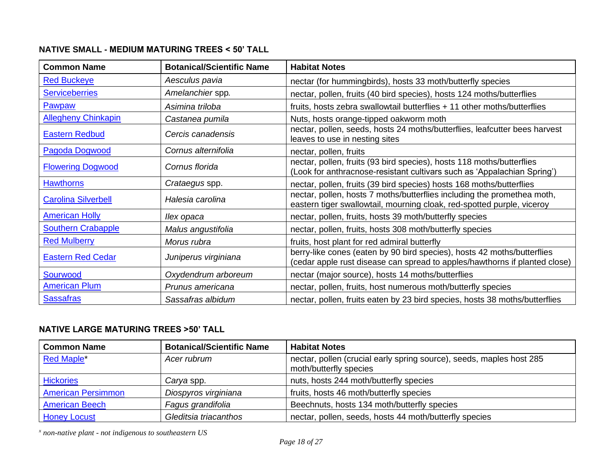# **NATIVE SMALL - MEDIUM MATURING TREES < 50' TALL**

| <b>Common Name</b>         | <b>Botanical/Scientific Name</b> | <b>Habitat Notes</b>                                                                                                                                  |
|----------------------------|----------------------------------|-------------------------------------------------------------------------------------------------------------------------------------------------------|
| <b>Red Buckeye</b>         | Aesculus pavia                   | nectar (for hummingbirds), hosts 33 moth/butterfly species                                                                                            |
| <b>Serviceberries</b>      | Amelanchier spp.                 | nectar, pollen, fruits (40 bird species), hosts 124 moths/butterflies                                                                                 |
| Pawpaw                     | Asimina triloba                  | fruits, hosts zebra swallowtail butterflies + 11 other moths/butterflies                                                                              |
| <b>Allegheny Chinkapin</b> | Castanea pumila                  | Nuts, hosts orange-tipped oakworm moth                                                                                                                |
| <b>Eastern Redbud</b>      | Cercis canadensis                | nectar, pollen, seeds, hosts 24 moths/butterflies, leafcutter bees harvest<br>leaves to use in nesting sites                                          |
| <b>Pagoda Dogwood</b>      | Cornus alternifolia              | nectar, pollen, fruits                                                                                                                                |
| <b>Flowering Dogwood</b>   | Cornus florida                   | nectar, pollen, fruits (93 bird species), hosts 118 moths/butterflies<br>(Look for anthracnose-resistant cultivars such as 'Appalachian Spring')      |
| <b>Hawthorns</b>           | Crataegus spp.                   | nectar, pollen, fruits (39 bird species) hosts 168 moths/butterflies                                                                                  |
| <b>Carolina Silverbell</b> | Halesia carolina                 | nectar, pollen, hosts 7 moths/butterflies including the promethea moth,<br>eastern tiger swallowtail, mourning cloak, red-spotted purple, viceroy     |
| <b>American Holly</b>      | llex opaca                       | nectar, pollen, fruits, hosts 39 moth/butterfly species                                                                                               |
| <b>Southern Crabapple</b>  | Malus angustifolia               | nectar, pollen, fruits, hosts 308 moth/butterfly species                                                                                              |
| <b>Red Mulberry</b>        | Morus rubra                      | fruits, host plant for red admiral butterfly                                                                                                          |
| <b>Eastern Red Cedar</b>   | Juniperus virginiana             | berry-like cones (eaten by 90 bird species), hosts 42 moths/butterflies<br>(cedar apple rust disease can spread to apples/hawthorns if planted close) |
| Sourwood                   | Oxydendrum arboreum              | nectar (major source), hosts 14 moths/butterflies                                                                                                     |
| <b>American Plum</b>       | Prunus americana                 | nectar, pollen, fruits, host numerous moth/butterfly species                                                                                          |
| <b>Sassafras</b>           | Sassafras albidum                | nectar, pollen, fruits eaten by 23 bird species, hosts 38 moths/butterflies                                                                           |

# **NATIVE LARGE MATURING TREES >50' TALL**

| <b>Common Name</b>        | <b>Botanical/Scientific Name</b> | <b>Habitat Notes</b>                                                                           |
|---------------------------|----------------------------------|------------------------------------------------------------------------------------------------|
| <b>Red Maple</b> *        | Acer rubrum                      | nectar, pollen (crucial early spring source), seeds, maples host 285<br>moth/butterfly species |
| <b>Hickories</b>          | Carya spp.                       | nuts, hosts 244 moth/butterfly species                                                         |
| <b>American Persimmon</b> | Diospyros virginiana             | fruits, hosts 46 moth/butterfly species                                                        |
| <b>American Beech</b>     | Fagus grandifolia                | Beechnuts, hosts 134 moth/butterfly species                                                    |
| <b>Honey Locust</b>       | Gleditsia triacanthos            | nectar, pollen, seeds, hosts 44 moth/butterfly species                                         |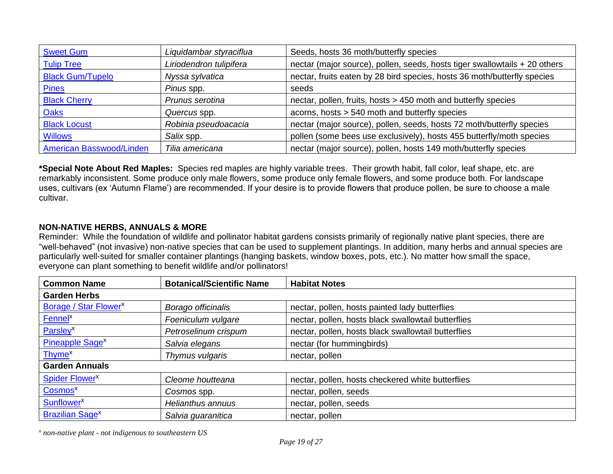| <b>Sweet Gum</b>                | Liquidambar styraciflua | Seeds, hosts 36 moth/butterfly species                                     |
|---------------------------------|-------------------------|----------------------------------------------------------------------------|
| <b>Tulip Tree</b>               | Liriodendron tulipifera | nectar (major source), pollen, seeds, hosts tiger swallowtails + 20 others |
| <b>Black Gum/Tupelo</b>         | Nyssa sylvatica         | nectar, fruits eaten by 28 bird species, hosts 36 moth/butterfly species   |
| <b>Pines</b>                    | Pinus spp.              | seeds                                                                      |
| <b>Black Cherry</b>             | Prunus serotina         | nectar, pollen, fruits, hosts > 450 moth and butterfly species             |
| <b>Oaks</b>                     | Quercus spp.            | acorns, hosts > 540 moth and butterfly species                             |
| <b>Black Locust</b>             | Robinia pseudoacacia    | nectar (major source), pollen, seeds, hosts 72 moth/butterfly species      |
| <b>Willows</b>                  | Salix spp.              | pollen (some bees use exclusively), hosts 455 butterfly/moth species       |
| <b>American Basswood/Linden</b> | Tilia americana         | nectar (major source), pollen, hosts 149 moth/butterfly species            |

**\*Special Note About Red Maples:** Species red maples are highly variable trees. Their growth habit, fall color, leaf shape, etc. are remarkably inconsistent. Some produce only male flowers, some produce only female flowers, and some produce both. For landscape uses, cultivars (ex 'Autumn Flame') are recommended. If your desire is to provide flowers that produce pollen, be sure to choose a male cultivar.

# **NON-NATIVE HERBS, ANNUALS & MORE**

Reminder: While the foundation of wildlife and pollinator habitat gardens consists primarily of regionally native plant species, there are "well-behaved" (not invasive) non-native species that can be used to supplement plantings. In addition, many herbs and annual species are particularly well-suited for smaller container plantings (hanging baskets, window boxes, pots, etc.). No matter how small the space, everyone can plant something to benefit wildlife and/or pollinators!

| <b>Common Name</b>                | <b>Botanical/Scientific Name</b> | <b>Habitat Notes</b>                                |  |
|-----------------------------------|----------------------------------|-----------------------------------------------------|--|
| <b>Garden Herbs</b>               |                                  |                                                     |  |
| Borage / Star Flower <sup>x</sup> | Borago officinalis               | nectar, pollen, hosts painted lady butterflies      |  |
| Fennel <sup>x</sup>               | Foeniculum vulgare               | nectar, pollen, hosts black swallowtail butterflies |  |
| Parsley <sup>x</sup>              | Petroselinum crispum             | nectar, pollen, hosts black swallowtail butterflies |  |
| Pineapple Sage <sup>x</sup>       | Salvia elegans                   | nectar (for hummingbirds)                           |  |
| Thyme <sup>x</sup>                | Thymus vulgaris                  | nectar, pollen                                      |  |
| <b>Garden Annuals</b>             |                                  |                                                     |  |
| Spider Flower <sup>x</sup>        | Cleome houtteana                 | nectar, pollen, hosts checkered white butterflies   |  |
| Cosmos <sup>x</sup>               | Cosmos spp.                      | nectar, pollen, seeds                               |  |
| <b>Sunflower</b> <sup>x</sup>     | Helianthus annuus                | nectar, pollen, seeds                               |  |
| <b>Brazilian Sage<sup>x</sup></b> | Salvia guaranitica               | nectar, pollen                                      |  |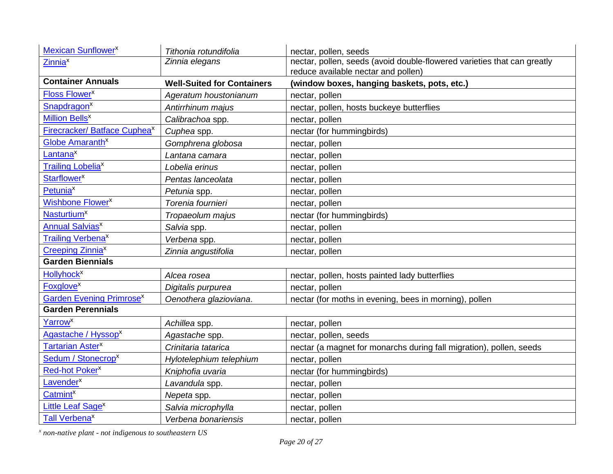| <b>Mexican Sunflower<sup>x</sup></b>        | Tithonia rotundifolia             | nectar, pollen, seeds                                                                                          |
|---------------------------------------------|-----------------------------------|----------------------------------------------------------------------------------------------------------------|
| Zinnia <sup>x</sup>                         | Zinnia elegans                    | nectar, pollen, seeds (avoid double-flowered varieties that can greatly<br>reduce available nectar and pollen) |
| <b>Container Annuals</b>                    | <b>Well-Suited for Containers</b> | (window boxes, hanging baskets, pots, etc.)                                                                    |
| <b>Floss Flower</b> <sup>x</sup>            | Ageratum houstonianum             | nectar, pollen                                                                                                 |
| <b>Snapdragon<sup>x</sup></b>               | Antirrhinum majus                 | nectar, pollen, hosts buckeye butterflies                                                                      |
| <b>Million Bells<sup>x</sup></b>            | Calibrachoa spp.                  | nectar, pollen                                                                                                 |
| Firecracker/ Batface Cuphea <sup>x</sup>    | Cuphea spp.                       | nectar (for hummingbirds)                                                                                      |
| Globe Amaranth <sup>x</sup>                 | Gomphrena globosa                 | nectar, pollen                                                                                                 |
| Lantana <sup>x</sup>                        | Lantana camara                    | nectar, pollen                                                                                                 |
| <b>Trailing Lobelia<sup>x</sup></b>         | Lobelia erinus                    | nectar, pollen                                                                                                 |
| Starflower <sup>x</sup>                     | Pentas lanceolata                 | nectar, pollen                                                                                                 |
| Petunia <sup>x</sup>                        | Petunia spp.                      | nectar, pollen                                                                                                 |
| <b>Wishbone Flower<sup>x</sup></b>          | Torenia fournieri                 | nectar, pollen                                                                                                 |
| <b>Nasturtium<sup>x</sup></b>               | Tropaeolum majus                  | nectar (for hummingbirds)                                                                                      |
| <b>Annual Salvias<sup>x</sup></b>           | Salvia spp.                       | nectar, pollen                                                                                                 |
| <b>Trailing Verbena<sup>x</sup></b>         | Verbena spp.                      | nectar, pollen                                                                                                 |
| <b>Creeping Zinnia<sup>x</sup></b>          | Zinnia angustifolia               | nectar, pollen                                                                                                 |
| <b>Garden Biennials</b>                     |                                   |                                                                                                                |
| <b>Hollyhock<sup>x</sup></b>                | Alcea rosea                       | nectar, pollen, hosts painted lady butterflies                                                                 |
| <b>Foxglove<sup>x</sup></b>                 | Digitalis purpurea                | nectar, pollen                                                                                                 |
| <b>Garden Evening Primrose</b> <sup>x</sup> | Oenothera glazioviana.            | nectar (for moths in evening, bees in morning), pollen                                                         |
| <b>Garden Perennials</b>                    |                                   |                                                                                                                |
| Yarrow <sup>x</sup>                         | Achillea spp.                     | nectar, pollen                                                                                                 |
| Agastache / Hyssop <sup>x</sup>             | Agastache spp.                    | nectar, pollen, seeds                                                                                          |
| Tartarian Aster <sup>x</sup>                | Crinitaria tatarica               | nectar (a magnet for monarchs during fall migration), pollen, seeds                                            |
| Sedum / Stonecrop <sup>x</sup>              | Hylotelephium telephium           | nectar, pollen                                                                                                 |
| Red-hot Poker <sup>x</sup>                  | Kniphofia uvaria                  | nectar (for hummingbirds)                                                                                      |
| Lavender <sup>x</sup>                       | Lavandula spp.                    | nectar, pollen                                                                                                 |
| <b>Catmint<sup>x</sup></b>                  | Nepeta spp.                       | nectar, pollen                                                                                                 |
| Little Leaf Sage <sup>x</sup>               | Salvia microphylla                | nectar, pollen                                                                                                 |
| <b>Tall Verbena<sup>x</sup></b>             | Verbena bonariensis               | nectar, pollen                                                                                                 |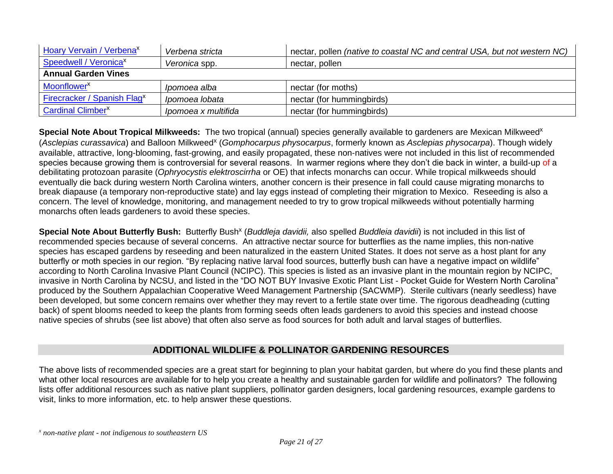| Hoary Vervain / Verbena <sup>x</sup>    | Verbena stricta     | nectar, pollen <i>(native to coastal NC and central USA, but not western NC)</i> |
|-----------------------------------------|---------------------|----------------------------------------------------------------------------------|
| Speedwell / Veronica <sup>x</sup>       | Veronica spp.       | nectar, pollen                                                                   |
| <b>Annual Garden Vines</b>              |                     |                                                                                  |
| Moonflower <sup>x</sup>                 | Ipomoea alba        | nectar (for moths)                                                               |
| Firecracker / Spanish Flag <sup>x</sup> | Ipomoea lobata      | nectar (for hummingbirds)                                                        |
| <b>Cardinal Climber<sup>x</sup></b>     | Ipomoea x multifida | nectar (for hummingbirds)                                                        |

Special Note About Tropical Milkweeds: The two tropical (annual) species generally available to gardeners are Mexican Milkweed<sup>x</sup> (Asclepias curassavica) and Balloon Milkweed<sup>x</sup> (Gomphocarpus physocarpus, formerly known as Asclepias physocarpa). Though widely available, attractive, long-blooming, fast-growing, and easily propagated, these non-natives were not included in this list of recommended species because growing them is controversial for several reasons. In warmer regions where they don't die back in winter, a build-up of a debilitating protozoan parasite (*Ophryocystis elektroscirrha* or OE) that infects monarchs can occur. While tropical milkweeds should eventually die back during western North Carolina winters, another concern is their presence in fall could cause migrating monarchs to break diapause (a temporary non-reproductive state) and lay eggs instead of completing their migration to Mexico. Reseeding is also a concern. The level of knowledge, monitoring, and management needed to try to grow tropical milkweeds without potentially harming monarchs often leads gardeners to avoid these species.

Special Note About Butterfly Bush: Butterfly Bush<sup>x</sup> (Buddleja davidii, also spelled Buddleia davidii) is not included in this list of recommended species because of several concerns. An attractive nectar source for butterflies as the name implies, this non-native species has escaped gardens by reseeding and been naturalized in the eastern United States. It does not serve as a host plant for any butterfly or moth species in our region. "By replacing native larval food sources, butterfly bush can have a negative impact on wildlife" according to North Carolina Invasive Plant Council (NCIPC). This species is listed as an invasive plant in the mountain region by NCIPC, invasive in North Carolina by NCSU, and listed in the "DO NOT BUY Invasive Exotic Plant List - Pocket Guide for Western North Carolina" produced by the Southern Appalachian Cooperative Weed Management Partnership (SACWMP). Sterile cultivars (nearly seedless) have been developed, but some concern remains over whether they may revert to a fertile state over time. The rigorous deadheading (cutting back) of spent blooms needed to keep the plants from forming seeds often leads gardeners to avoid this species and instead choose native species of shrubs (see list above) that often also serve as food sources for both adult and larval stages of butterflies.

# **ADDITIONAL WILDLIFE & POLLINATOR GARDENING RESOURCES**

The above lists of recommended species are a great start for beginning to plan your habitat garden, but where do you find these plants and what other local resources are available for to help you create a healthy and sustainable garden for wildlife and pollinators? The following lists offer additional resources such as native plant suppliers, pollinator garden designers, local gardening resources, example gardens to visit, links to more information, etc. to help answer these questions.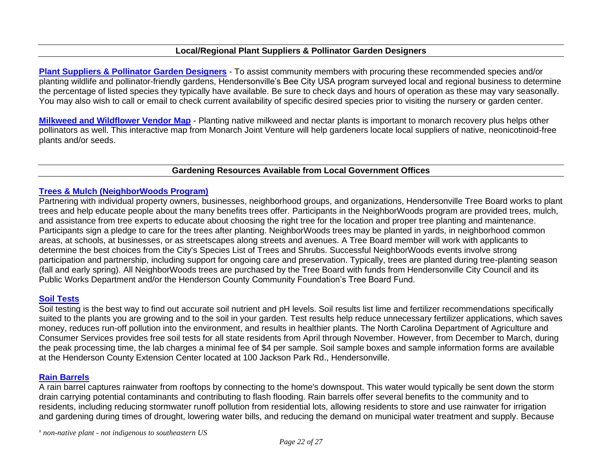#### **Local/Regional Plant Suppliers & Pollinator Garden Designers**

**[Plant Suppliers & Pollinator Garden Designers](https://bullingtongardens.org/bee-city-usa-hendersonville/bee-city-usa-hendersonville-planting-for-pollinators/)** - To assist community members with procuring these recommended species and/or planting wildlife and pollinator-friendly gardens, Hendersonville's Bee City USA program surveyed local and regional business to determine the percentage of listed species they typically have available. Be sure to check days and hours of operation as these may vary seasonally. You may also wish to call or email to check current availability of specific desired species prior to visiting the nursery or garden center.

**[Milkweed and Wildflower Vendor Map](https://monarchjointventure.org/mjvprograms/habitat/milkweed-vendor-map)** - Planting native milkweed and nectar plants is important to monarch recovery plus helps other pollinators as well. This interactive map from Monarch Joint Venture will help gardeners locate local suppliers of native, neonicotinoid-free plants and/or seeds.

#### **Gardening Resources Available from Local Government Offices**

#### **[Trees & Mulch \(NeighborWoods Program\)](https://www.hendersonvillenc.gov/advisory-boards-commissions-and-committees/tree-board/tree-board-projects-activities/neighborwoods)**

Partnering with individual property owners, businesses, neighborhood groups, and organizations, Hendersonville Tree Board works to plant trees and help educate people about the many benefits trees offer. Participants in the NeighborWoods program are provided trees, mulch, and assistance from tree experts to educate about choosing the right tree for the location and proper tree planting and maintenance. Participants sign a pledge to care for the trees after planting. NeighborWoods trees may be planted in yards, in neighborhood common areas, at schools, at businesses, or as streetscapes along streets and avenues. A Tree Board member will work with applicants to determine the best choices from the City's Species List of Trees and Shrubs. Successful NeighborWoods events involve strong participation and partnership, including support for ongoing care and preservation. Typically, trees are planted during tree-planting season (fall and early spring). All NeighborWoods trees are purchased by the Tree Board with funds from Hendersonville City Council and its Public Works Department and/or the Henderson County Community Foundation's Tree Board Fund.

#### **[Soil Tests](https://henderson.ces.ncsu.edu/)**

Soil testing is the best way to find out accurate soil nutrient and pH levels. Soil results list lime and fertilizer recommendations specifically suited to the plants you are growing and to the soil in your garden. Test results help reduce unnecessary fertilizer applications, which saves money, reduces run-off pollution into the environment, and results in healthier plants. The North Carolina Department of Agriculture and Consumer Services provides free soil tests for all state residents from April through November. However, from December to March, during the peak processing time, the lab charges a minimal fee of \$4 per sample. Soil sample boxes and sample information forms are available at the Henderson County Extension Center located at 100 Jackson Park Rd., Hendersonville.

#### **[Rain Barrels](https://www.rainwatersolutions.com/products/hendersonville)**

A rain barrel captures rainwater from rooftops by connecting to the home's downspout. This water would typically be sent down the storm drain carrying potential contaminants and contributing to flash flooding. Rain barrels offer several benefits to the community and to residents, including reducing stormwater runoff pollution from residential lots, allowing residents to store and use rainwater for irrigation and gardening during times of drought, lowering water bills, and reducing the demand on municipal water treatment and supply. Because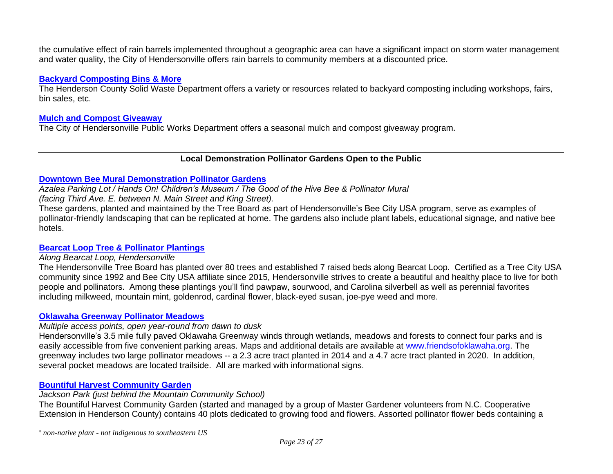the cumulative effect of rain barrels implemented throughout a geographic area can have a significant impact on storm water management and water quality, the City of Hendersonville offers rain barrels to community members at a discounted price.

#### **[Backyard Composting Bins & More](https://www.hendersoncountync.gov/solid-waste/page/backyard-compost-workshops)**

The Henderson County Solid Waste Department offers a variety or resources related to backyard composting including workshops, fairs, bin sales, etc.

#### **[Mulch and Compost Giveaway](https://www.hendersonvillenc.gov/news/mulch-giveaway)**

The City of Hendersonville Public Works Department offers a seasonal mulch and compost giveaway program.

#### **Local Demonstration Pollinator Gardens Open to the Public**

#### **[Downtown Bee Mural Demonstration Pollinator Gardens](https://handsonwnc.org/mural)**

*Azalea Parking Lot / Hands On! Children's Museum / The Good of the Hive Bee & Pollinator Mural* 

*(facing Third Ave. E. between N. Main Street and King Street).*

These gardens, planted and maintained by the Tree Board as part of Hendersonville's Bee City USA program, serve as examples of pollinator-friendly landscaping that can be replicated at home. The gardens also include plant labels, educational signage, and native bee hotels.

#### **[Bearcat Loop Tree & Pollinator](http://www.hendersonvillenc.gov/tree-board/) Plantings**

#### *Along Bearcat Loop, Hendersonville*

The Hendersonville Tree Board has planted over 80 trees and established 7 raised beds along Bearcat Loop. Certified as a Tree City USA community since 1992 and Bee City USA affiliate since 2015, Hendersonville strives to create a beautiful and healthy place to live for both people and pollinators. Among these plantings you'll find pawpaw, sourwood, and Carolina silverbell as well as perennial favorites including milkweed, mountain mint, goldenrod, cardinal flower, black-eyed susan, joe-pye weed and more.

#### **[Oklawaha Greenway Pollinator Meadows](https://storymaps.arcgis.com/stories/acb7148d6e1843119713652b34aafc1d)**

#### *Multiple access points, open year-round from dawn to dusk*

Hendersonville's 3.5 mile fully paved Oklawaha Greenway winds through wetlands, meadows and forests to connect four parks and is easily accessible from five convenient parking areas. Maps and additional details are available at [www.friendsofoklawaha.org.](http://www.friendsofoklawaha.org/) The greenway includes two large pollinator meadows -- a 2.3 acre tract planted in 2014 and a 4.7 acre tract planted in 2020. In addition, several pocket meadows are located trailside. All are marked with informational signs.

#### **[Bountiful Harvest Community Garden](https://henderson.ces.ncsu.edu/2020/07/bountiful-harvest-community-garden-2020/)**

#### *Jackson Park (just behind the Mountain Community School)*

The Bountiful Harvest Community Garden (started and managed by a group of Master Gardener volunteers from N.C. Cooperative Extension in Henderson County) contains 40 plots dedicated to growing food and flowers. Assorted pollinator flower beds containing a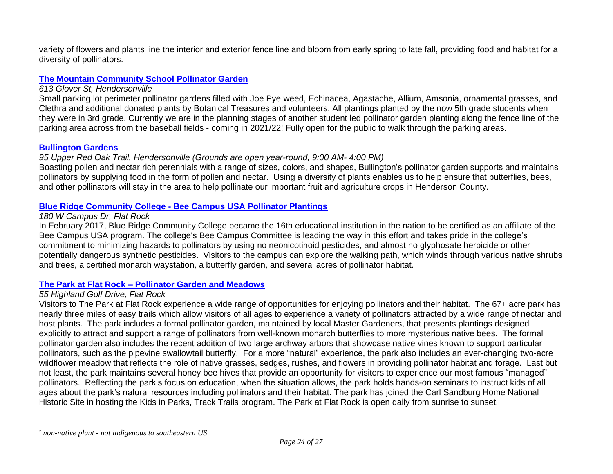variety of flowers and plants line the interior and exterior fence line and bloom from early spring to late fall, providing food and habitat for a diversity of pollinators.

#### **[The Mountain Community School Pollinator Garden](https://www.themountaincommunityschool.com/)**

#### *613 Glover St, Hendersonville*

Small parking lot perimeter pollinator gardens filled with Joe Pye weed, Echinacea, Agastache, Allium, Amsonia, ornamental grasses, and Clethra and additional donated plants by Botanical Treasures and volunteers. All plantings planted by the now 5th grade students when they were in 3rd grade. Currently we are in the planning stages of another student led pollinator garden planting along the fence line of the parking area across from the baseball fields - coming in 2021/22! Fully open for the public to walk through the parking areas.

#### **[Bullington Gardens](https://bullingtongardens.org/)**

#### *95 Upper Red Oak Trail, Hendersonville (Grounds are open year-round, 9:00 AM- 4:00 PM)*

Boasting pollen and nectar rich perennials with a range of sizes, colors, and shapes, Bullington's pollinator garden supports and maintains pollinators by supplying food in the form of pollen and nectar. Using a diversity of plants enables us to help ensure that butterflies, bees, and other pollinators will stay in the area to help pollinate our important fruit and agriculture crops in Henderson County.

#### **Blue Ridge Community College - [Bee Campus USA Pollinator Plantings](https://www.blueridge.edu/about-blue-ridge/bee-campus/)**

#### *180 W Campus Dr, Flat Rock*

In February 2017, Blue Ridge Community College became the 16th educational institution in the nation to be certified as an affiliate of the Bee Campus USA program. The college's Bee Campus Committee is leading the way in this effort and takes pride in the college's commitment to minimizing hazards to pollinators by using no neonicotinoid pesticides, and almost no glyphosate herbicide or other potentially dangerous synthetic pesticides. Visitors to the campus can explore the walking path, which winds through various native shrubs and trees, a certified monarch waystation, a butterfly garden, and several acres of pollinator habitat.

#### **The Park at Flat Rock – [Pollinator Garden and Meadows](https://flatrockparkfoundation.org/the-park/)**

#### *55 Highland Golf Drive, Flat Rock*

Visitors to The Park at Flat Rock experience a wide range of opportunities for enjoying pollinators and their habitat. The 67+ acre park has nearly three miles of easy trails which allow visitors of all ages to experience a variety of pollinators attracted by a wide range of nectar and host plants. The park includes a formal pollinator garden, maintained by local Master Gardeners, that presents plantings designed explicitly to attract and support a range of pollinators from well-known monarch butterflies to more mysterious native bees. The formal pollinator garden also includes the recent addition of two large archway arbors that showcase native vines known to support particular pollinators, such as the pipevine swallowtail butterfly. For a more "natural" experience, the park also includes an ever-changing two-acre wildflower meadow that reflects the role of native grasses, sedges, rushes, and flowers in providing pollinator habitat and forage. Last but not least, the park maintains several honey bee hives that provide an opportunity for visitors to experience our most famous "managed" pollinators. Reflecting the park's focus on education, when the situation allows, the park holds hands-on seminars to instruct kids of all ages about the park's natural resources including pollinators and their habitat. The park has joined the Carl Sandburg Home National Historic Site in hosting the Kids in Parks, Track Trails program. The Park at Flat Rock is open daily from sunrise to sunset.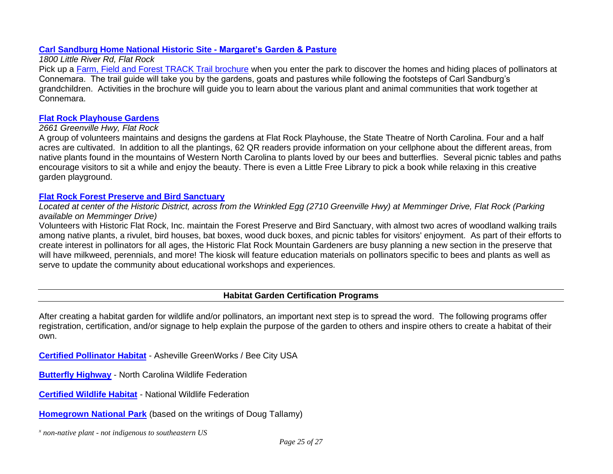#### **[Carl Sandburg Home National Historic Site -](http://www.nps.gov/carl) Margaret's Garden & Pasture**

#### *1800 Little River Rd, Flat Rock*

Pick up a [Farm, Field and Forest TRACK Trail brochure](https://www.kidsinparks.com/sites/default/files/brochure/download/FarmFieldForest_web.pdf) when you enter the park to discover the homes and hiding places of pollinators at Connemara. The trail guide will take you by the gardens, goats and pastures while following the footsteps of Carl Sandburg's grandchildren. Activities in the brochure will guide you to learn about the various plant and animal communities that work together at Connemara.

#### **[Flat Rock Playhouse Gardens](https://www.mbtags.com/plantview.php?plant_tag=799101818)**

#### *2661 Greenville Hwy, Flat Rock*

A group of volunteers maintains and designs the gardens at Flat Rock Playhouse, the State Theatre of North Carolina. Four and a half acres are cultivated. In addition to all the plantings, 62 QR readers provide information on your cellphone about the different areas, from native plants found in the mountains of Western North Carolina to plants loved by our bees and butterflies. Several picnic tables and paths encourage visitors to sit a while and enjoy the beauty. There is even a Little Free Library to pick a book while relaxing in this creative garden playground.

#### **[Flat Rock Forest Preserve and Bird Sanctuary](https://historicflatrockinc.com/the-preserve-and-bird-sanctuary/)**

*Located at center of the Historic District, across from the Wrinkled Egg (2710 Greenville Hwy) at Memminger Drive, Flat Rock (Parking available on Memminger Drive)*

Volunteers with Historic Flat Rock, Inc. maintain the Forest Preserve and Bird Sanctuary, with almost two acres of woodland walking trails among native plants, a rivulet, bird houses, bat boxes, wood duck boxes, and picnic tables for visitors' enjoyment. As part of their efforts to create interest in pollinators for all ages, the Historic Flat Rock Mountain Gardeners are busy planning a new section in the preserve that will have milkweed, perennials, and more! The kiosk will feature education materials on pollinators specific to bees and plants as well as serve to update the community about educational workshops and experiences.

### **Habitat Garden Certification Programs**

After creating a habitat garden for wildlife and/or pollinators, an important next step is to spread the word. The following programs offer registration, certification, and/or signage to help explain the purpose of the garden to others and inspire others to create a habitat of their own.

**[Certified Pollinator Habitat](http://www.ashevillegreenworks.org/pollinator-garden-certification.html)** - Asheville GreenWorks / Bee City USA

**[Butterfly Highway](https://ncwf.org/habitat/butterfly-highway/)** - North Carolina Wildlife Federation

**[Certified Wildlife Habitat](http://www.nwf.org/Garden-for-Wildlife/Certify)** - National Wildlife Federation

**[Homegrown National Park](https://homegrownnationalpark.org/signage)** (based on the writings of Doug Tallamy)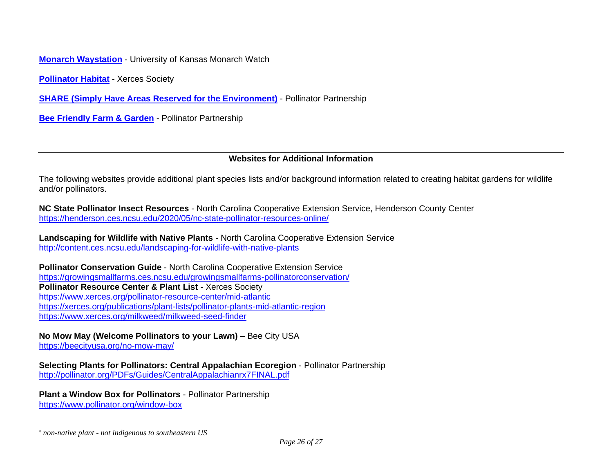**[Monarch Waystation](http://www.monarchwatch.org/waystations/)** - University of Kansas Monarch Watch

**[Pollinator Habitat](https://xerces.org/bring-back-the-pollinators) - Xerces Society** 

**[SHARE \(Simply Have Areas Reserved for the Environment\)](http://www.pollinator.org/share)** - Pollinator Partnership

**[Bee Friendly Farm & Garden](http://www.pollinator.org/bff/bff-us)** - Pollinator Partnership

#### **Websites for Additional Information**

The following websites provide additional plant species lists and/or background information related to creating habitat gardens for wildlife and/or pollinators.

**NC State Pollinator Insect Resources** - North Carolina Cooperative Extension Service, Henderson County Center <https://henderson.ces.ncsu.edu/2020/05/nc-state-pollinator-resources-online/>

**Landscaping for Wildlife with Native Plants** - North Carolina Cooperative Extension Service <http://content.ces.ncsu.edu/landscaping-for-wildlife-with-native-plants>

**Pollinator Conservation Guide** - North Carolina Cooperative Extension Service <https://growingsmallfarms.ces.ncsu.edu/growingsmallfarms-pollinatorconservation/> **Pollinator Resource Center & Plant List** - Xerces Society <https://www.xerces.org/pollinator-resource-center/mid-atlantic> <https://xerces.org/publications/plant-lists/pollinator-plants-mid-atlantic-region> <https://www.xerces.org/milkweed/milkweed-seed-finder>

**No Mow May (Welcome Pollinators to your Lawn)** – Bee City USA <https://beecityusa.org/no-mow-may/>

**Selecting Plants for Pollinators: Central Appalachian Ecoregion** - Pollinator Partnership <http://pollinator.org/PDFs/Guides/CentralAppalachianrx7FINAL.pdf>

**Plant a Window Box for Pollinators** - Pollinator Partnership <https://www.pollinator.org/window-box>